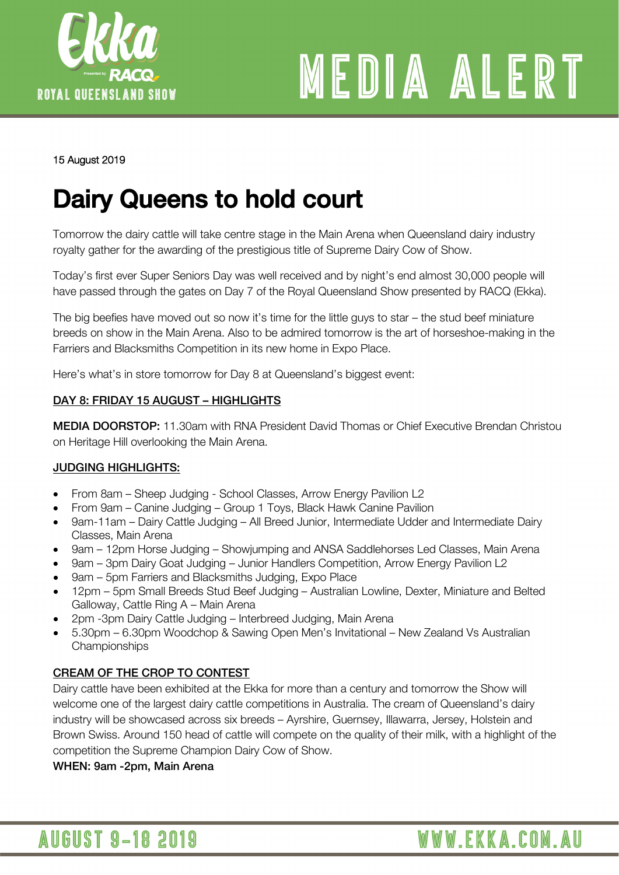

# MEDIA ALERT

WWW.EKKA.COM.AU

#### 15 August 2019

### Dairy Queens to hold court

Tomorrow the dairy cattle will take centre stage in the Main Arena when Queensland dairy industry royalty gather for the awarding of the prestigious title of Supreme Dairy Cow of Show.

Today's first ever Super Seniors Day was well received and by night's end almost 30,000 people will have passed through the gates on Day 7 of the Royal Queensland Show presented by RACQ (Ekka).

The big beefies have moved out so now it's time for the little guys to star – the stud beef miniature breeds on show in the Main Arena. Also to be admired tomorrow is the art of horseshoe-making in the Farriers and Blacksmiths Competition in its new home in Expo Place.

Here's what's in store tomorrow for Day 8 at Queensland's biggest event:

#### DAY 8: FRIDAY 15 AUGUST – HIGHLIGHTS

MEDIA DOORSTOP: 11.30am with RNA President David Thomas or Chief Executive Brendan Christou on Heritage Hill overlooking the Main Arena.

#### JUDGING HIGHLIGHTS:

- From 8am Sheep Judging School Classes, Arrow Energy Pavilion L2
- From 9am Canine Judging Group 1 Toys, Black Hawk Canine Pavilion
- 9am-11am Dairy Cattle Judging All Breed Junior, Intermediate Udder and Intermediate Dairy Classes, Main Arena
- 9am 12pm Horse Judging Showjumping and ANSA Saddlehorses Led Classes, Main Arena
- 9am 3pm Dairy Goat Judging Junior Handlers Competition, Arrow Energy Pavilion L2
- 9am 5pm Farriers and Blacksmiths Judging, Expo Place
- 12pm 5pm Small Breeds Stud Beef Judging Australian Lowline, Dexter, Miniature and Belted Galloway, Cattle Ring A – Main Arena
- 2pm -3pm Dairy Cattle Judging Interbreed Judging, Main Arena
- 5.30pm 6.30pm Woodchop & Sawing Open Men's Invitational New Zealand Vs Australian **Championships**

#### CREAM OF THE CROP TO CONTEST

Dairy cattle have been exhibited at the Ekka for more than a century and tomorrow the Show will welcome one of the largest dairy cattle competitions in Australia. The cream of Queensland's dairy industry will be showcased across six breeds – Ayrshire, Guernsey, Illawarra, Jersey, Holstein and Brown Swiss. Around 150 head of cattle will compete on the quality of their milk, with a highlight of the competition the Supreme Champion Dairy Cow of Show.

WHEN: 9am -2pm, Main Arena

**AUGUST 9-18 2019**